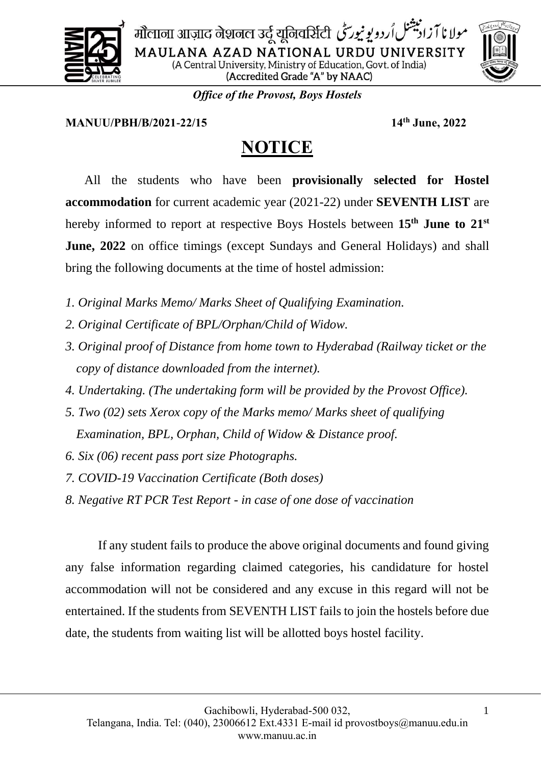

مولانا آزاد بيشنل اُردويونيورسِّي मोलाना आज़ाद नेशनल उर्दू यूनिवर्सिटी MAULANA AZAD NATIONAL URDU UNIVERSITY (A Central University, Ministry of Education, Govt. of India) (Accredited Grade "A" by NAAC)

*Office of the Provost, Boys Hostels*

## **MANUU/PBH/B/2021-22/15 14th June, 2022**

## **NOTICE**

All the students who have been **provisionally selected for Hostel accommodation** for current academic year (2021-22) under **SEVENTH LIST** are hereby informed to report at respective Boys Hostels between **15th June to 21st June, 2022** on office timings (except Sundays and General Holidays) and shall bring the following documents at the time of hostel admission:

- *1. Original Marks Memo/ Marks Sheet of Qualifying Examination.*
- *2. Original Certificate of BPL/Orphan/Child of Widow.*
- *3. Original proof of Distance from home town to Hyderabad (Railway ticket or the copy of distance downloaded from the internet).*
- *4. Undertaking. (The undertaking form will be provided by the Provost Office).*
- *5. Two (02) sets Xerox copy of the Marks memo/ Marks sheet of qualifying Examination, BPL, Orphan, Child of Widow & Distance proof.*
- *6. Six (06) recent pass port size Photographs.*
- *7. COVID-19 Vaccination Certificate (Both doses)*
- *8. Negative RT PCR Test Report - in case of one dose of vaccination*

If any student fails to produce the above original documents and found giving any false information regarding claimed categories, his candidature for hostel accommodation will not be considered and any excuse in this regard will not be entertained. If the students from SEVENTH LIST fails to join the hostels before due date, the students from waiting list will be allotted boys hostel facility.

1